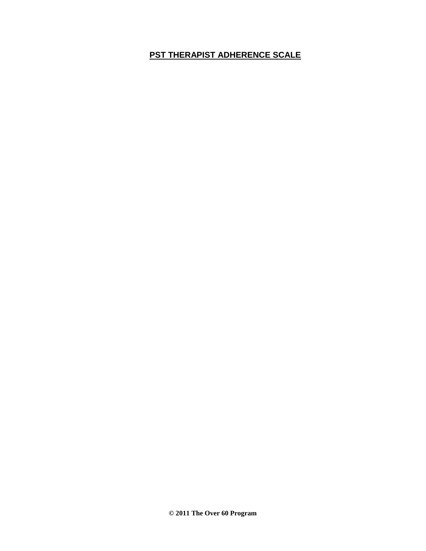# **PST THERAPIST ADHERENCE SCALE**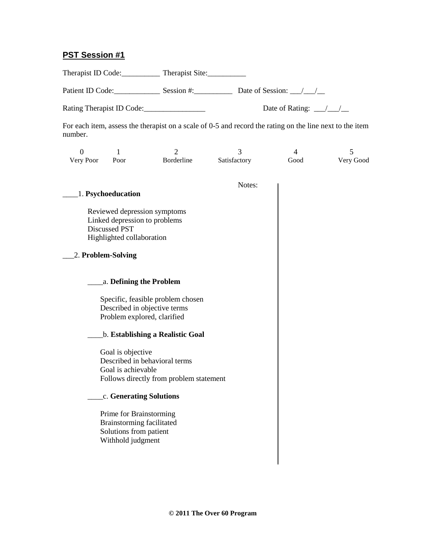# **PST Session #1**

Therapist ID Code: Therapist Site:

Patient ID Code: Session #: Session #: Date of Session:  $\frac{1}{\sqrt{2}}$ 

Rating Therapist ID Code:\_\_\_\_\_\_\_\_\_\_\_\_\_\_\_\_ Date of Rating: \_\_\_/\_\_\_/\_\_

For each item, assess the therapist on a scale of 0-5 and record the rating on the line next to the item number.

| Very Poor | Poor | Borderline | Satisfactory | Good | Very Good |
|-----------|------|------------|--------------|------|-----------|

|                                         | Notes: |
|-----------------------------------------|--------|
| 1. Psychoeducation                      |        |
|                                         |        |
| Reviewed depression symptoms            |        |
| Linked depression to problems           |        |
| <b>Discussed PST</b>                    |        |
| Highlighted collaboration               |        |
| 2. Problem-Solving                      |        |
|                                         |        |
| a. Defining the Problem                 |        |
| Specific, feasible problem chosen       |        |
| Described in objective terms            |        |
| Problem explored, clarified             |        |
|                                         |        |
| <b>b. Establishing a Realistic Goal</b> |        |
| Goal is objective                       |        |
| Described in behavioral terms           |        |
| Goal is achievable                      |        |
| Follows directly from problem statement |        |
| c. Generating Solutions                 |        |
| Prime for Brainstorming                 |        |
| Brainstorming facilitated               |        |
| Solutions from patient                  |        |
| Withhold judgment                       |        |
|                                         |        |
|                                         |        |
|                                         |        |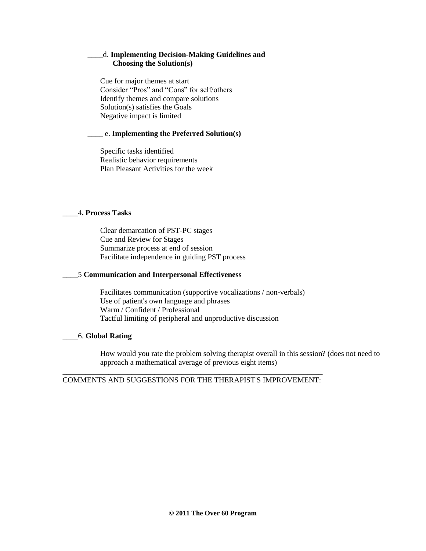# \_\_\_\_d. **Implementing Decision-Making Guidelines and Choosing the Solution(s)**

Cue for major themes at start Consider "Pros" and "Cons" for self/others Identify themes and compare solutions Solution(s) satisfies the Goals Negative impact is limited

## \_\_\_\_ e. **Implementing the Preferred Solution(s)**

Specific tasks identified Realistic behavior requirements Plan Pleasant Activities for the week

## \_\_\_\_4**. Process Tasks**

Clear demarcation of PST-PC stages Cue and Review for Stages Summarize process at end of session Facilitate independence in guiding PST process

## \_\_\_\_5 **Communication and Interpersonal Effectiveness**

Facilitates communication (supportive vocalizations / non-verbals) Use of patient's own language and phrases Warm / Confident / Professional Tactful limiting of peripheral and unproductive discussion

# \_\_\_\_6. **Global Rating**

How would you rate the problem solving therapist overall in this session? (does not need to approach a mathematical average of previous eight items)

\_\_\_\_\_\_\_\_\_\_\_\_\_\_\_\_\_\_\_\_\_\_\_\_\_\_\_\_\_\_\_\_\_\_\_\_\_\_\_\_\_\_\_\_\_\_\_\_\_\_\_\_\_\_\_\_\_\_\_\_\_\_\_\_\_\_\_\_ COMMENTS AND SUGGESTIONS FOR THE THERAPIST'S IMPROVEMENT: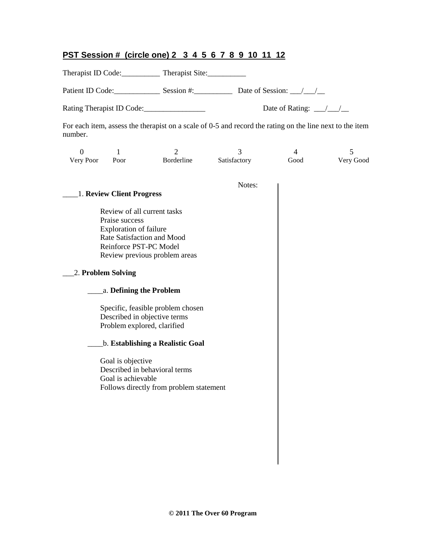# **PST Session # (circle one) 2 3 4 5 6 7 8 9 10 11 12**

Therapist ID Code: Therapist Site:

Patient ID Code: Session #: Session #: Date of Session:  $\frac{1}{2}$ 

Rating Therapist ID Code:\_\_\_\_\_\_\_\_\_\_\_\_\_\_\_\_ Date of Rating: \_\_\_/\_\_\_/\_\_

For each item, assess the therapist on a scale of 0-5 and record the rating on the line next to the item number.

| Very Poor | Poor | Borderline | Satisfactory | Good | Very Good |
|-----------|------|------------|--------------|------|-----------|

|                                         | Notes: |
|-----------------------------------------|--------|
| 1. Review Client Progress               |        |
| Review of all current tasks             |        |
| Praise success                          |        |
| <b>Exploration of failure</b>           |        |
| Rate Satisfaction and Mood              |        |
| Reinforce PST-PC Model                  |        |
| Review previous problem areas           |        |
| 2. Problem Solving                      |        |
| a. Defining the Problem                 |        |
| Specific, feasible problem chosen       |        |
| Described in objective terms            |        |
| Problem explored, clarified             |        |
| <b>b. Establishing a Realistic Goal</b> |        |
| Goal is objective                       |        |
| Described in behavioral terms           |        |
| Goal is achievable                      |        |
| Follows directly from problem statement |        |
|                                         |        |
|                                         |        |
|                                         |        |
|                                         |        |
|                                         |        |
|                                         |        |
|                                         |        |
|                                         |        |